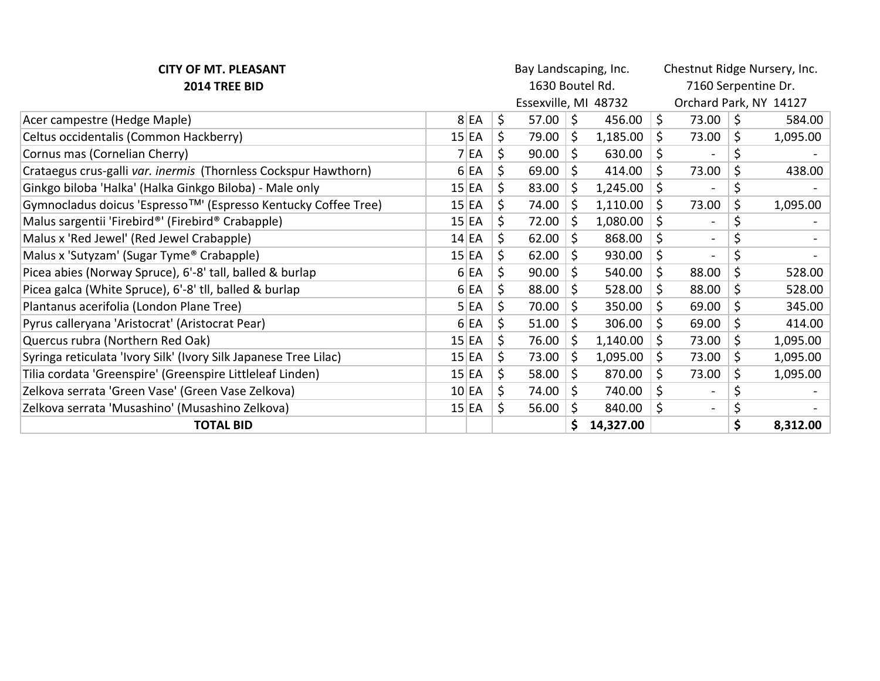| <b>CITY OF MT. PLEASANT</b>                                      | Bay Landscaping, Inc. |       |    |                      |    | Chestnut Ridge Nursery, Inc. |    |                        |    |          |  |
|------------------------------------------------------------------|-----------------------|-------|----|----------------------|----|------------------------------|----|------------------------|----|----------|--|
| 2014 TREE BID                                                    |                       |       |    | 1630 Boutel Rd.      |    |                              |    | 7160 Serpentine Dr.    |    |          |  |
|                                                                  |                       |       |    | Essexville, MI 48732 |    |                              |    | Orchard Park, NY 14127 |    |          |  |
| Acer campestre (Hedge Maple)                                     |                       | 8 EA  | \$ | 57.00                | 5  | 456.00                       | \$ | 73.00                  | \$ | 584.00   |  |
| Celtus occidentalis (Common Hackberry)                           |                       | 15 EA | \$ | 79.00                | Ŝ. | 1,185.00                     | \$ | 73.00                  | \$ | 1,095.00 |  |
| Cornus mas (Cornelian Cherry)                                    |                       | 7 EA  | Ś. | 90.00                | Ś. | 630.00                       | \$ |                        | \$ |          |  |
| Crataegus crus-galli var. inermis (Thornless Cockspur Hawthorn)  |                       | 6 EA  | \$ | 69.00                | \$ | 414.00                       | \$ | 73.00                  | \$ | 438.00   |  |
| Ginkgo biloba 'Halka' (Halka Ginkgo Biloba) - Male only          |                       | 15 EA | \$ | 83.00                | \$ | 1,245.00                     | \$ |                        | \$ |          |  |
| Gymnocladus doicus 'Espresso™' (Espresso Kentucky Coffee Tree)   |                       | 15 EA | \$ | 74.00                | \$ | 1,110.00                     | \$ | 73.00                  | \$ | 1,095.00 |  |
| Malus sargentii 'Firebird®' (Firebird® Crabapple)                |                       | 15 EA | \$ | 72.00                | \$ | 1,080.00                     | \$ |                        | \$ |          |  |
| Malus x 'Red Jewel' (Red Jewel Crabapple)                        |                       | 14 EA | \$ | 62.00                | \$ | 868.00                       | \$ |                        |    |          |  |
| Malus x 'Sutyzam' (Sugar Tyme® Crabapple)                        |                       | 15 EA | \$ | 62.00                | \$ | 930.00                       | \$ |                        |    |          |  |
| Picea abies (Norway Spruce), 6'-8' tall, balled & burlap         |                       | 6 EA  | \$ | 90.00                | \$ | 540.00                       | \$ | 88.00                  | \$ | 528.00   |  |
| Picea galca (White Spruce), 6'-8' tll, balled & burlap           |                       | 6 EA  | \$ | 88.00                | Ś. | 528.00                       | \$ | 88.00                  | \$ | 528.00   |  |
| Plantanus acerifolia (London Plane Tree)                         |                       | 5 EA  | \$ | 70.00                | \$ | 350.00                       | \$ | 69.00                  | \$ | 345.00   |  |
| Pyrus calleryana 'Aristocrat' (Aristocrat Pear)                  |                       | 6 EA  | \$ | 51.00                | \$ | 306.00                       | \$ | 69.00                  | \$ | 414.00   |  |
| Quercus rubra (Northern Red Oak)                                 | 15 EA                 |       | \$ | 76.00                | \$ | 1,140.00                     | \$ | 73.00                  | \$ | 1,095.00 |  |
| Syringa reticulata 'Ivory Silk' (Ivory Silk Japanese Tree Lilac) |                       | 15 EA | \$ | 73.00                | \$ | 1,095.00                     | \$ | 73.00                  | \$ | 1,095.00 |  |
| Tilia cordata 'Greenspire' (Greenspire Littleleaf Linden)        |                       | 15 EA | \$ | 58.00                | \$ | 870.00                       | \$ | 73.00                  | \$ | 1,095.00 |  |
| Zelkova serrata 'Green Vase' (Green Vase Zelkova)                |                       | 10 EA | \$ | 74.00                | \$ | 740.00                       | \$ |                        |    |          |  |
| Zelkova serrata 'Musashino' (Musashino Zelkova)                  | 15 EA                 |       | \$ | 56.00                | \$ | 840.00                       | \$ |                        |    |          |  |
| <b>TOTAL BID</b>                                                 |                       |       |    |                      |    | 14,327.00                    |    |                        | \$ | 8,312.00 |  |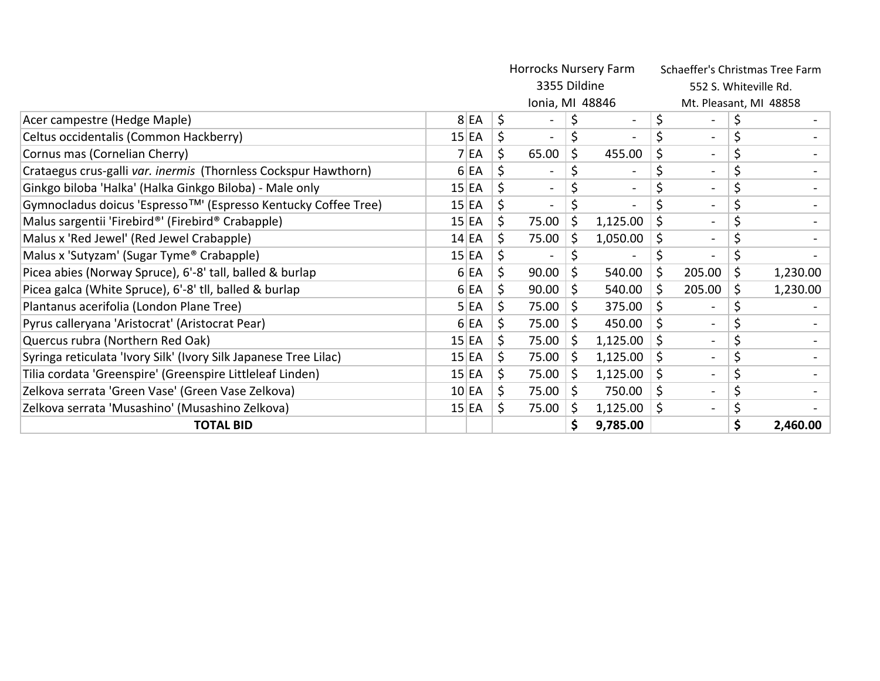|                                                                  |       | Horrocks Nursery Farm |                 |    |                          |                        | Schaeffer's Christmas Tree Farm |    |          |  |
|------------------------------------------------------------------|-------|-----------------------|-----------------|----|--------------------------|------------------------|---------------------------------|----|----------|--|
|                                                                  |       |                       | 3355 Dildine    |    |                          |                        | 552 S. Whiteville Rd.           |    |          |  |
|                                                                  |       |                       | Ionia, MI 48846 |    |                          | Mt. Pleasant, MI 48858 |                                 |    |          |  |
| Acer campestre (Hedge Maple)                                     | 8 EA  | \$                    |                 |    | $\overline{\phantom{a}}$ | \$                     |                                 |    |          |  |
| Celtus occidentalis (Common Hackberry)                           | 15 EA | \$                    |                 | \$ |                          | \$                     |                                 | \$ |          |  |
| Cornus mas (Cornelian Cherry)                                    | 7 EA  | \$                    | 65.00           | \$ | 455.00                   | \$                     |                                 |    |          |  |
| Crataegus crus-galli var. inermis (Thornless Cockspur Hawthorn)  | 6 EA  | \$                    |                 |    |                          |                        | $\sim$                          |    |          |  |
| Ginkgo biloba 'Halka' (Halka Ginkgo Biloba) - Male only          | 15 EA | \$                    |                 |    |                          |                        |                                 |    |          |  |
| Gymnocladus doicus 'Espresso™' (Espresso Kentucky Coffee Tree)   | 15 EA | \$                    | $\blacksquare$  |    | $\overline{\phantom{a}}$ |                        | $\sim$                          |    |          |  |
| Malus sargentii 'Firebird®' (Firebird® Crabapple)                | 15 EA | \$                    | 75.00           | Ŝ. | 1,125.00                 | \$                     | $\sim$                          | \$ |          |  |
| Malus x 'Red Jewel' (Red Jewel Crabapple)                        | 14 EA | Ś                     | 75.00           | \$ | 1,050.00                 | \$                     |                                 |    |          |  |
| Malus x 'Sutyzam' (Sugar Tyme® Crabapple)                        | 15 EA | \$                    |                 |    |                          |                        |                                 |    |          |  |
| Picea abies (Norway Spruce), 6'-8' tall, balled & burlap         | 6 EA  | \$                    | 90.00           | \$ | 540.00                   | \$                     | 205.00                          | \$ | 1,230.00 |  |
| Picea galca (White Spruce), 6'-8' tll, balled & burlap           | 6 EA  | \$                    | 90.00           | \$ | 540.00                   | \$                     | 205.00                          | \$ | 1,230.00 |  |
| Plantanus acerifolia (London Plane Tree)                         | 5 EA  |                       | 75.00           | Ś. | 375.00                   | \$                     |                                 | \$ |          |  |
| Pyrus calleryana 'Aristocrat' (Aristocrat Pear)                  | 6 EA  | \$                    | 75.00           | \$ | 450.00                   | \$                     |                                 |    |          |  |
| Quercus rubra (Northern Red Oak)                                 | 15 EA | \$                    | 75.00           | S  | 1,125.00                 | \$                     |                                 |    |          |  |
| Syringa reticulata 'Ivory Silk' (Ivory Silk Japanese Tree Lilac) | 15 EA | \$                    | 75.00           |    | 1,125.00                 | \$                     |                                 |    |          |  |
| Tilia cordata 'Greenspire' (Greenspire Littleleaf Linden)        | 15 EA | \$                    | 75.00           | \$ | 1,125.00                 | \$                     | $\overline{\phantom{0}}$        |    |          |  |
| Zelkova serrata 'Green Vase' (Green Vase Zelkova)                | 10 EA | \$                    | 75.00           | Ŝ  | 750.00                   | \$                     | $\sim$                          | \$ |          |  |
| Zelkova serrata 'Musashino' (Musashino Zelkova)                  | 15 EA | \$                    | 75.00           | \$ | 1,125.00                 | \$                     |                                 |    |          |  |
| <b>TOTAL BID</b>                                                 |       |                       |                 |    | 9,785.00                 |                        |                                 |    | 2,460.00 |  |